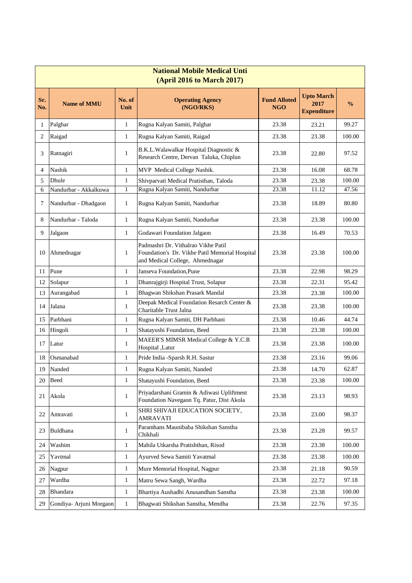| <b>National Mobile Medical Unti</b><br>(April 2016 to March 2017) |                         |                |                                                                                                                          |                                   |                                                 |               |  |  |  |  |
|-------------------------------------------------------------------|-------------------------|----------------|--------------------------------------------------------------------------------------------------------------------------|-----------------------------------|-------------------------------------------------|---------------|--|--|--|--|
| Sr.<br>No.                                                        | <b>Name of MMU</b>      | No. of<br>Unit | <b>Operating Agency</b><br>(NGO/RKS)                                                                                     | <b>Fund Alloted</b><br><b>NGO</b> | <b>Upto March</b><br>2017<br><b>Expenditure</b> | $\frac{0}{0}$ |  |  |  |  |
| 1                                                                 | Palghar                 | $\mathbf{1}$   | Rugna Kalyan Samiti, Palghar                                                                                             | 23.38                             | 23.21                                           | 99.27         |  |  |  |  |
| 2                                                                 | Raigad                  | $\mathbf{1}$   | Rugna Kalyan Samiti, Raigad                                                                                              | 23.38                             | 23.38                                           | 100.00        |  |  |  |  |
| 3                                                                 | Ratnagiri               | $\mathbf{1}$   | B.K.L.Walawalkar Hospital Diagnostic &<br>Research Centre, Dervan Taluka, Chiplun                                        | 23.38                             | 22.80                                           | 97.52         |  |  |  |  |
| $\overline{4}$                                                    | <b>Nashik</b>           | $\mathbf{1}$   | MVP Medical College Nashik.                                                                                              | 23.38                             | 16.08                                           | 68.78         |  |  |  |  |
| 5                                                                 | Dhule                   | $\mathbf{1}$   | Shivparvati Medical Pratisthan, Taloda                                                                                   | 23.38                             | 23.38                                           | 100.00        |  |  |  |  |
| 6                                                                 | Nandurbar - Akkalkuwa   | 1              | Rugna Kalyan Samiti, Nandurbar                                                                                           | 23.38                             | 11.12                                           | 47.56         |  |  |  |  |
| 7                                                                 | Nandurbar - Dhadgaon    | $\mathbf{1}$   | Rugna Kalyan Samiti, Nandurbar                                                                                           | 23.38                             | 18.89                                           | 80.80         |  |  |  |  |
| 8                                                                 | Nandurbar - Taloda      | $\mathbf{1}$   | Rugna Kalyan Samiti, Nandurbar                                                                                           | 23.38                             | 23.38                                           | 100.00        |  |  |  |  |
| 9                                                                 | Jalgaon                 | $\mathbf{1}$   | Godawari Foundation Jalgaon                                                                                              | 23.38                             | 16.49                                           | 70.53         |  |  |  |  |
| 10                                                                | Ahmednagar              | $\mathbf{1}$   | Padmashri Dr. Vithalrao Vikhe Patil<br>Foundation's Dr. Vikhe Patil Memorial Hospital<br>and Medical College, Ahmednagar | 23.38                             | 23.38                                           | 100.00        |  |  |  |  |
| 11                                                                | Pune                    | $\mathbf{1}$   | Janseva Foundation, Pune                                                                                                 | 23.38                             | 22.98                                           | 98.29         |  |  |  |  |
| 12                                                                | Solapur                 | $\mathbf{1}$   | Dhanrajgirji Hospital Trust, Solapur                                                                                     | 23.38                             | 22.31                                           | 95.42         |  |  |  |  |
| 13                                                                | Aurangabad              | $\mathbf{1}$   | Bhagwan Shikshan Prasark Mandal                                                                                          | 23.38                             | 23.38                                           | 100.00        |  |  |  |  |
| 14                                                                | Jalana                  | $\mathbf{1}$   | Deepak Medical Foundation Resarch Center &<br>Charitable Trust Jalna                                                     | 23.38                             | 23.38                                           | 100.00        |  |  |  |  |
| 15                                                                | Parbhani                | $\mathbf{1}$   | Rugna Kalyan Samiti, DH Parbhani                                                                                         | 23.38                             | 10.46                                           | 44.74         |  |  |  |  |
| 16                                                                | Hingoli                 | $\mathbf{1}$   | Shatayushi Foundation, Beed                                                                                              | 23.38                             | 23.38                                           | 100.00        |  |  |  |  |
| 17                                                                | Latur                   | $\mathbf{1}$   | MAEER'S MIMSR Medical College & Y.C.R<br>Hospital ,Latur                                                                 | 23.38                             | 23.38                                           | 100.00        |  |  |  |  |
| 18                                                                | Osmanabad               | $\mathbf{1}$   | Pride India -Sparsh R.H. Sastur                                                                                          | 23.38                             | 23.16                                           | 99.06         |  |  |  |  |
| 19                                                                | Nanded                  | $\mathbf{1}$   | Rugna Kalyan Samiti, Nanded                                                                                              | 23.38                             | 14.70                                           | 62.87         |  |  |  |  |
| 20                                                                | <b>Beed</b>             | $\mathbf{1}$   | Shatayushi Foundation, Beed                                                                                              | 23.38                             | 23.38                                           | 100.00        |  |  |  |  |
| 21                                                                | Akola                   | $\mathbf{1}$   | Priyadarshani Gramin & Adiwasi Upliftment<br>Foundation Navegaon Tq. Patur, Dist Akola                                   | 23.38                             | 23.13                                           | 98.93         |  |  |  |  |
| 22                                                                | Amravati                | $\mathbf{1}$   | SHRI SHIVAJI EDUCATION SOCIETY,<br><b>AMRAVATI</b>                                                                       | 23.38                             | 23.00                                           | 98.37         |  |  |  |  |
| 23                                                                | Buldhana                | $\mathbf{1}$   | Paramhans Maunibaba Shikshan Sanstha<br>Chikhali                                                                         | 23.38                             | 23.28                                           | 99.57         |  |  |  |  |
| 24                                                                | Washim                  | $\mathbf{1}$   | Mahila Utkarsha Pratishthan, Risod                                                                                       | 23.38                             | 23.38                                           | 100.00        |  |  |  |  |
| 25                                                                | Yavtmal                 | $\mathbf{1}$   | Ayurved Sewa Samiti Yavatmal                                                                                             | 23.38                             | 23.38                                           | 100.00        |  |  |  |  |
| 26                                                                | Nagpur                  | $\mathbf{1}$   | Mure Memorial Hospital, Nagpur                                                                                           | 23.38                             | 21.18                                           | 90.59         |  |  |  |  |
| 27                                                                | Wardha                  | $\mathbf{1}$   | Matru Sewa Sangh, Wardha                                                                                                 | 23.38                             | 22.72                                           | 97.18         |  |  |  |  |
| 28                                                                | <b>Bhandara</b>         | $\mathbf{1}$   | Bhartiya Aushadhi Anusandhan Sanstha                                                                                     | 23.38                             | 23.38                                           | 100.00        |  |  |  |  |
| 29                                                                | Gondiya- Arjuni Morgaon | $\mathbf{1}$   | Bhagwati Shikshan Sanstha, Mendha                                                                                        | 23.38                             | 22.76                                           | 97.35         |  |  |  |  |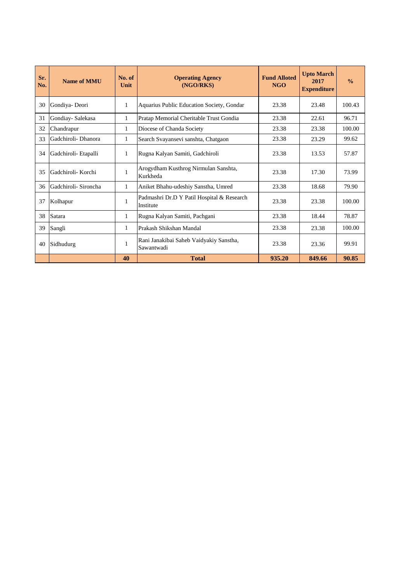| Sr.<br>No. | Name of MMII         | No. of<br>Unit | <b>Operating Agency</b><br>(NGO/RKS)                    | <b>Fund Alloted</b><br>NGO | <b>Upto March</b><br>2017<br><b>Expenditure</b> | $\frac{0}{0}$ |
|------------|----------------------|----------------|---------------------------------------------------------|----------------------------|-------------------------------------------------|---------------|
| 30         | Gondiya-Deori        | $\mathbf{1}$   | Aquarius Public Education Society, Gondar               | 23.38                      | 23.48                                           | 100.43        |
| 31         | Gondiay-Salekasa     | 1              | Pratap Memorial Cheritable Trust Gondia                 | 23.38                      | 22.61                                           | 96.71         |
| 32         | Chandrapur           | 1              | Diocese of Chanda Society                               | 23.38                      | 23.38                                           | 100.00        |
| 33         | Gadchiroli- Dhanora  | 1              | Search Svayansevi sanshta, Chatgaon                     | 23.38                      | 23.29                                           | 99.62         |
| 34         | Gadchiroli- Etapalli | 1              | Rugna Kalyan Samiti, Gadchiroli                         | 23.38                      | 13.53                                           | 57.87         |
| 35         | Gadchiroli- Korchi   | 1              | Arogydham Kusthrog Nirmulan Sanshta,<br>Kurkheda        | 23.38                      | 17.30                                           | 73.99         |
| 36         | Gadchiroli- Sironcha | 1              | Aniket Bhahu-udeshiy Sanstha, Umred                     | 23.38                      | 18.68                                           | 79.90         |
| 37         | Kolhapur             | 1              | Padmashri Dr.D Y Patil Hospital & Research<br>Institute | 23.38                      | 23.38                                           | 100.00        |
| 38         | Satara               | 1              | Rugna Kalyan Samiti, Pachgani                           | 23.38                      | 18.44                                           | 78.87         |
| 39         | Sangli               | 1              | Prakash Shikshan Mandal                                 | 23.38                      | 23.38                                           | 100.00        |
| 40         | Sidhudurg            | 1              | Rani Janakibai Saheb Vaidyakiy Sanstha,<br>Sawantwadi   | 23.38                      | 23.36                                           | 99.91         |
|            |                      | 40             | <b>Total</b>                                            | 935.20                     | 849.66                                          | 90.85         |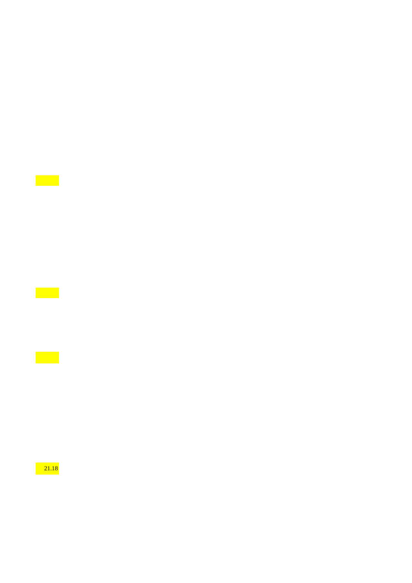$\mathcal{L}^{\text{max}}$ 

 $\mathcal{L}(\mathcal{A})$ 

 $\mathcal{L}^{\text{max}}$ 

21.18